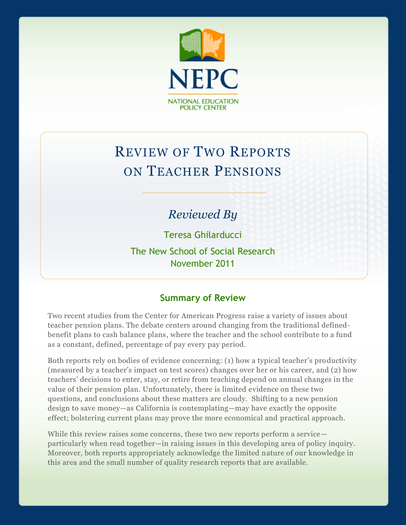

# REVIEW OF TWO REPORTS ON TEACHER PENSIONS

# *Reviewed By*

Teresa Ghilarducci

The New School of Social Research November 2011

#### **Summary of Review**

Two recent studies from the Center for American Progress raise a variety of issues about teacher pension plans. The debate centers around changing from the traditional definedbenefit plans to cash balance plans, where the teacher and the school contribute to a fund as a constant, defined, percentage of pay every pay period.

Both reports rely on bodies of evidence concerning: (1) how a typical teacher's productivity (measured by a teacher's impact on test scores) changes over her or his career, and (2) how teachers' decisions to enter, stay, or retire from teaching depend on annual changes in the value of their pension plan. Unfortunately, there is limited evidence on these two questions, and conclusions about these matters are cloudy. Shifting to a new pension design to save money—as California is contemplating—may have exactly the opposite effect; bolstering current plans may prove the more economical and practical approach.

While this review raises some concerns, these two new reports perform a service particularly when read together—in raising issues in this developing area of policy inquiry. Moreover, both reports appropriately acknowledge the limited nature of our knowledge in this area and the small number of quality research reports that are available.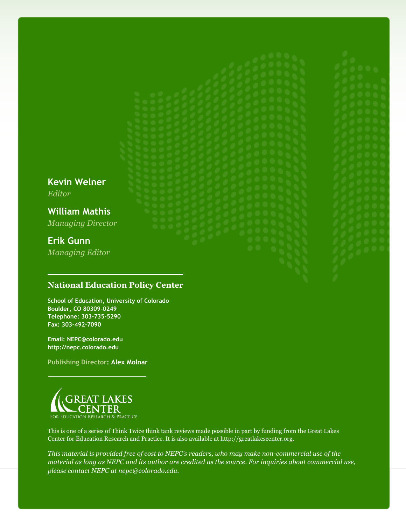**Kevin Welner** *Editor* **William Mathis** *Managing Director* **Erik Gunn** *Managing Editor*

#### **National Education Policy Center**

**School of Education, University of Colorado Boulder, CO 80309-0249 Telephone: 303-735-5290 Fax: 303-492-7090**

**Email: NEPC@colorado.edu http://nepc.colorado.edu**

**Publishing Director: Alex Molnar**



This is one of a series of Think Twice think tank reviews made possible in part by funding from the Great Lakes Center for Education Research and Practice. It is also available at http://greatlakescenter.org.

*This material is provided free of cost to NEPC's readers, who may make non-commercial use of the material as long as NEPC and its author are credited as the source. For inquiries about commercial use, please contact NEPC at nepc@colorado.edu.*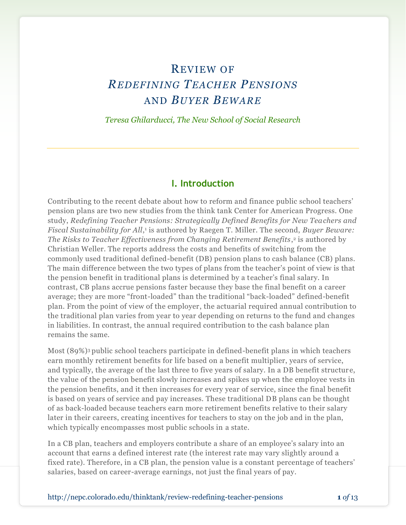# REVIEW OF *REDEFINING TEACHER PENSIONS* AND *BUYER BEWARE*

*Teresa Ghilarducci, The New School of Social Research*

#### **I. Introduction**

Contributing to the recent debate about how to reform and finance public school teachers' pension plans are two new studies from the think tank Center for American Progress. One study, *Redefining Teacher Pensions: Strategically Defined Benefits for New Teachers and*  Fiscal Sustainability for All,<sup>1</sup> is authored by Raegen T. Miller. The second, *Buyer Beware:* The Risks to Teacher Effectiveness from Changing Retirement Benefits,<sup>2</sup> is authored by Christian Weller. The reports address the costs and benefits of switching from the commonly used traditional defined-benefit (DB) pension plans to cash balance (CB) plans. The main difference between the two types of plans from the teacher's point of view is that the pension benefit in traditional plans is determined by a teacher's final salary. In contrast, CB plans accrue pensions faster because they base the final benefit on a career average; they are more "front-loaded" than the traditional "back-loaded" defined-benefit plan. From the point of view of the employer, the actuarial required annual contribution to the traditional plan varies from year to year depending on returns to the fund and changes in liabilities. In contrast, the annual required contribution to the cash balance plan remains the same.

Most (89%)<sup>3</sup> public school teachers participate in defined-benefit plans in which teachers earn monthly retirement benefits for life based on a benefit multiplier, years of service, and typically, the average of the last three to five years of salary. In a DB benefit structur e, the value of the pension benefit slowly increases and spikes up when the employee vests in the pension benefits, and it then increases for every year of service, since the final benefit is based on years of service and pay increases. These traditional DB plans can be thought of as back-loaded because teachers earn more retirement benefits relative to their salary later in their careers, creating incentives for teachers to stay on the job and in the plan, which typically encompasses most public schools in a state.

In a CB plan, teachers and employers contribute a share of an employee's salary into an account that earns a defined interest rate (the interest rate may vary slightly around a fixed rate). Therefore, in a CB plan, the pension value is a constant percentage of teachers' salaries, based on career-average earnings, not just the final years of pay.

http://nepc.colorado.edu/thinktank/review-redefining-teacher-pensions **1** *of* 13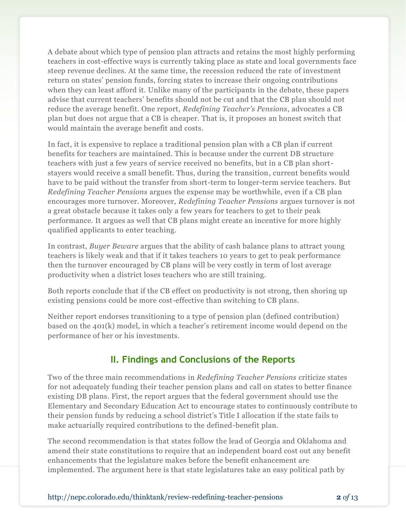A debate about which type of pension plan attracts and retains the most highly performing teachers in cost-effective ways is currently taking place as state and local governments face steep revenue declines. At the same time, the recession reduced the rate of investment return on states' pension funds, forcing states to increase their ongoing contributions when they can least afford it. Unlike many of the participants in the debate, these papers advise that current teachers' benefits should not be cut and that the CB plan should not reduce the average benefit. One report, *Redefining Teacher's Pensions*, advocates a CB plan but does not argue that a CB is cheaper. That is, it proposes an honest switch that would maintain the average benefit and costs.

In fact, it is expensive to replace a traditional pension plan with a CB plan if current benefits for teachers are maintained. This is because under the current DB structure teachers with just a few years of service received no benefits, but in a CB plan shortstayers would receive a small benefit. Thus, during the transition, current benefits would have to be paid without the transfer from short-term to longer-term service teachers. But *Redefining Teacher Pensions* argues the expense may be worthwhile, even if a CB plan encourages more turnover. Moreover, *Redefining Teacher Pensions* argues turnover is not a great obstacle because it takes only a few years for teachers to get to their peak performance. It argues as well that CB plans might create an incentive for more highly qualified applicants to enter teaching.

In contrast, *Buyer Beware* argues that the ability of cash balance plans to attract young teachers is likely weak and that if it takes teachers 10 years to get to peak performance then the turnover encouraged by CB plans will be very costly in term of lost average productivity when a district loses teachers who are still training.

Both reports conclude that if the CB effect on productivity is not strong, then shoring up existing pensions could be more cost-effective than switching to CB plans.

Neither report endorses transitioning to a type of pension plan (defined contribution) based on the 401(k) model, in which a teacher's retirement income would depend on the performance of her or his investments.

### **II. Findings and Conclusions of the Reports**

Two of the three main recommendations in *Redefining Teacher Pensions* criticize states for not adequately funding their teacher pension plans and call on states to better finance existing DB plans. First, the report argues that the federal government should use the Elementary and Secondary Education Act to encourage states to continuously contribute to their pension funds by reducing a school district's Title I allocation if the state fails to make actuarially required contributions to the defined-benefit plan.

The second recommendation is that states follow the lead of Georgia and Oklahoma and amend their state constitutions to require that an independent board cost out any benefit enhancements that the legislature makes before the benefit enhancement are implemented. The argument here is that state legislatures take an easy political path by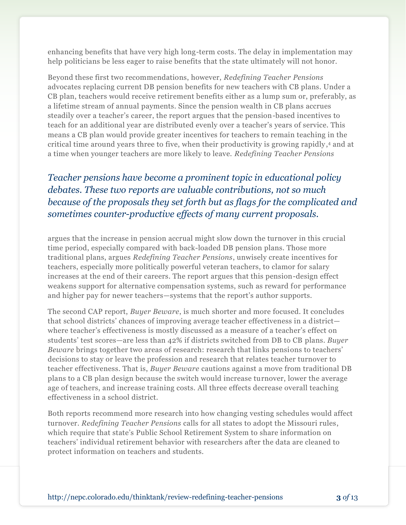enhancing benefits that have very high long-term costs. The delay in implementation may help politicians be less eager to raise benefits that the state ultimately will not honor.

Beyond these first two recommendations, however, *Redefining Teacher Pensions* advocates replacing current DB pension benefits for new teachers with CB plans. Under a CB plan, teachers would receive retirement benefits either as a lump sum or, preferably, as a lifetime stream of annual payments. Since the pension wealth in CB plans accrues steadily over a teacher's career, the report argues that the pension-based incentives to teach for an additional year are distributed evenly over a teacher's years of service. This means a CB plan would provide greater incentives for teachers to remain teaching in the critical time around years three to five, when their productivity is growing rapidly, <sup>4</sup> and at a time when younger teachers are more likely to leave. *Redefining Teacher Pensions* 

# *Teacher pensions have become a prominent topic in educational policy debates. These two reports are valuable contributions, not so much because of the proposals they set forth but as flags for the complicated and sometimes counter-productive effects of many current proposals.*

argues that the increase in pension accrual might slow down the turnover in this crucial time period, especially compared with back-loaded DB pension plans. Those more traditional plans, argues *Redefining Teacher Pensions*, unwisely create incentives for teachers, especially more politically powerful veteran teachers, to clamor for salary increases at the end of their careers. The report argues that this pension-design effect weakens support for alternative compensation systems, such as reward for performance and higher pay for newer teachers—systems that the report's author supports.

The second CAP report, *Buyer Beware*, is much shorter and more focused. It concludes that school districts' chances of improving average teacher effectiveness in a district where teacher's effectiveness is mostly discussed as a measure of a teacher's effect on students' test scores—are less than 42% if districts switched from DB to CB plans. *Buyer Beware* brings together two areas of research: research that links pensions to teachers' decisions to stay or leave the profession and research that relates teacher turnover to teacher effectiveness. That is, *Buyer Beware* cautions against a move from traditional DB plans to a CB plan design because the switch would increase turnover, lower the average age of teachers, and increase training costs. All three effects decrease overall teaching effectiveness in a school district.

Both reports recommend more research into how changing vesting schedules would affect turnover. *Redefining Teacher Pensions* calls for all states to adopt the Missouri rules, which require that state's Public School Retirement System to share information on teachers' individual retirement behavior with researchers after the data are cleaned to protect information on teachers and students.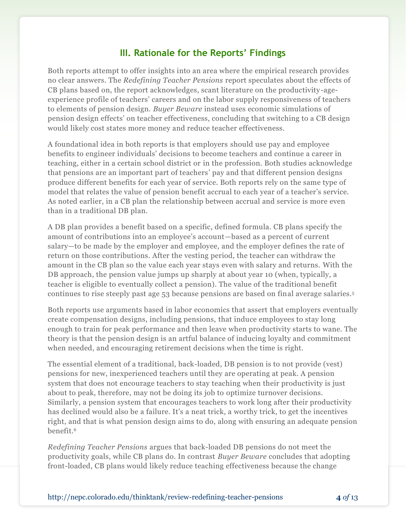#### **III. Rationale for the Reports' Findings**

Both reports attempt to offer insights into an area where the empirical research provides no clear answers. The *Redefining Teacher Pensions* report speculates about the effects of CB plans based on, the report acknowledges, scant literature on the productivity-ageexperience profile of teachers' careers and on the labor supply responsiveness of teachers to elements of pension design. *Buyer Beware* instead uses economic simulations of pension design effects' on teacher effectiveness, concluding that switching to a CB design would likely cost states more money and reduce teacher effectiveness.

A foundational idea in both reports is that employers should use pay and employee benefits to engineer individuals' decisions to become teachers and continue a career in teaching, either in a certain school district or in the profession. Both studies acknowledge that pensions are an important part of teachers' pay and that different pension designs produce different benefits for each year of service. Both reports rely on the same type of model that relates the value of pension benefit accrual to each year of a teacher's service. As noted earlier, in a CB plan the relationship between accrual and service is more even than in a traditional DB plan.

A DB plan provides a benefit based on a specific, defined formula. CB plans specify the amount of contributions into an employee's account—based as a percent of current salary—to be made by the employer and employee, and the employer defines the rate of return on those contributions. After the vesting period, the teacher can withdraw the amount in the CB plan so the value each year stays even with salary and returns. With the DB approach, the pension value jumps up sharply at about year 10 (when, typically, a teacher is eligible to eventually collect a pension). The value of the traditional benefit continues to rise steeply past age 53 because pensions are based on final average salaries.<sup>5</sup>

Both reports use arguments based in labor economics that assert that employers eventually create compensation designs, including pensions, that induce employees to stay long enough to train for peak performance and then leave when productivity starts to wane. The theory is that the pension design is an artful balance of inducing loyalty and commitment when needed, and encouraging retirement decisions when the time is right.

The essential element of a traditional, back-loaded, DB pension is to not provide (vest) pensions for new, inexperienced teachers until they are operating at peak. A pension system that does not encourage teachers to stay teaching when their productivity is just about to peak, therefore, may not be doing its job to optimize turnover decisions. Similarly, a pension system that encourages teachers to work long after their productivity has declined would also be a failure. It's a neat trick, a worthy trick, to get the incentives right, and that is what pension design aims to do, along with ensuring an adequate pension benefit.<sup>6</sup>

*Redefining Teacher Pensions* argues that back-loaded DB pensions do not meet the productivity goals, while CB plans do. In contrast *Buyer Beware* concludes that adopting front-loaded, CB plans would likely reduce teaching effectiveness because the change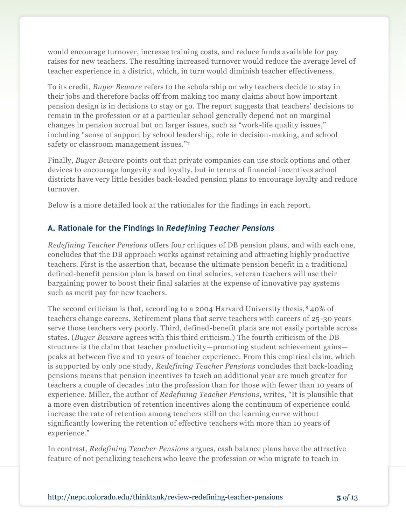would encourage turnover, increase training costs, and reduce funds available for pay raises for new teachers. The resulting increased turnover would reduce the average level of teacher experience in a district, which, in turn would diminish teacher effectiveness.

To its credit, *Buyer Beware* refers to the scholarship on why teachers decide to stay in their jobs and therefore backs off from making too many claims about how important pension design is in decisions to stay or go. The report suggests that teachers' decisions to remain in the profession or at a particular school generally depend not on marginal changes in pension accrual but on larger issues, such as "work-life quality issues," including "sense of support by school leadership, role in decision-making, and school safety or classroom management issues."7

Finally, *Buyer Beware* points out that private companies can use stock options and other devices to encourage longevity and loyalty, but in terms of financial incentives school districts have very little besides back-loaded pension plans to encourage loyalty and reduce turnover.

Below is a more detailed look at the rationales for the findings in each report.

#### **A. Rationale for the Findings in** *Redefining Teacher Pensions*

*Redefining Teacher Pensions* offers four critiques of DB pension plans, and with each one, concludes that the DB approach works against retaining and attracting highly productive teachers. First is the assertion that, because the ultimate pension benefit in a traditional defined-benefit pension plan is based on final salaries, veteran teachers will use their bargaining power to boost their final salaries at the expense of innovative pay systems such as merit pay for new teachers.

The second criticism is that, according to a 2004 Harvard University thesis, <sup>8</sup> 40% of teachers change careers. Retirement plans that serve teachers with careers of 25-30 years serve those teachers very poorly. Third, defined-benefit plans are not easily portable across states. (*Buyer Beware* agrees with this third criticism.) The fourth criticism of the DB structure is the claim that teacher productivity—promoting student achievement gains peaks at between five and 10 years of teacher experience. From this empirical claim, which is supported by only one study, *Redefining Teacher Pensions* concludes that back-loading pensions means that pension incentives to teach an additional year are much greater for teachers a couple of decades into the profession than for those with fewer than 10 years of experience. Miller, the author of *Redefining Teacher Pensions*, writes, "It is plausible that a more even distribution of retention incentives along the continuum of experience could increase the rate of retention among teachers still on the learning curve without significantly lowering the retention of effective teachers with more than 10 years of experience."

In contrast, *Redefining Teacher Pensions* argues, cash balance plans have the attractive feature of not penalizing teachers who leave the profession or who migrate to teach in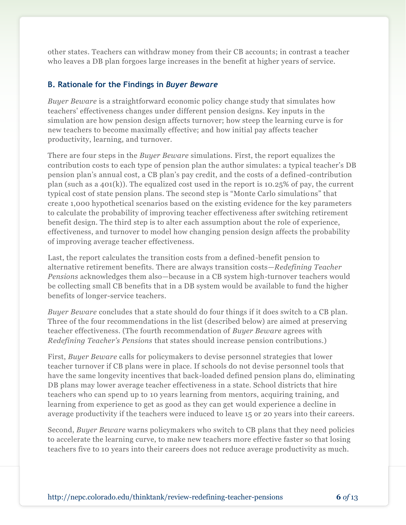other states. Teachers can withdraw money from their CB accounts; in contrast a teacher who leaves a DB plan forgoes large increases in the benefit at higher years of service.

#### **B. Rationale for the Findings in** *Buyer Beware*

*Buyer Beware* is a straightforward economic policy change study that simulates how teachers' effectiveness changes under different pension designs. Key inputs in the simulation are how pension design affects turnover; how steep the learning curve is for new teachers to become maximally effective; and how initial pay affects teacher productivity, learning, and turnover.

There are four steps in the *Buyer Beware* simulations. First, the report equalizes the contribution costs to each type of pension plan the author simulates: a typical teacher's DB pension plan's annual cost, a CB plan's pay credit, and the costs of a defined-contribution plan (such as a 401(k)). The equalized cost used in the report is 10.25% of pay, the current typical cost of state pension plans. The second step is "Monte Carlo simulations" that create 1,000 hypothetical scenarios based on the existing evidence for the key parameters to calculate the probability of improving teacher effectiveness after switching retirement benefit design. The third step is to alter each assumption about the role of experience, effectiveness, and turnover to model how changing pension design affects the probability of improving average teacher effectiveness.

Last, the report calculates the transition costs from a defined-benefit pension to alternative retirement benefits. There are always transition costs—*Redefining Teacher Pensions* acknowledges them also—because in a CB system high-turnover teachers would be collecting small CB benefits that in a DB system would be available to fund the higher benefits of longer-service teachers.

*Buyer Beware* concludes that a state should do four things if it does switch to a CB plan. Three of the four recommendations in the list (described below) are aimed at preserving teacher effectiveness. (The fourth recommendation of *Buyer Beware* agrees with *Redefining Teacher's Pensions* that states should increase pension contributions.)

First, *Buyer Beware* calls for policymakers to devise personnel strategies that lower teacher turnover if CB plans were in place. If schools do not devise personnel tools that have the same longevity incentives that back-loaded defined pension plans do, eliminating DB plans may lower average teacher effectiveness in a state. School districts that hire teachers who can spend up to 10 years learning from mentors, acquiring training, and learning from experience to get as good as they can get would experience a decline in average productivity if the teachers were induced to leave 15 or 20 years into their careers.

Second, *Buyer Beware* warns policymakers who switch to CB plans that they need policies to accelerate the learning curve, to make new teachers more effective faster so that losing teachers five to 10 years into their careers does not reduce average productivity as much.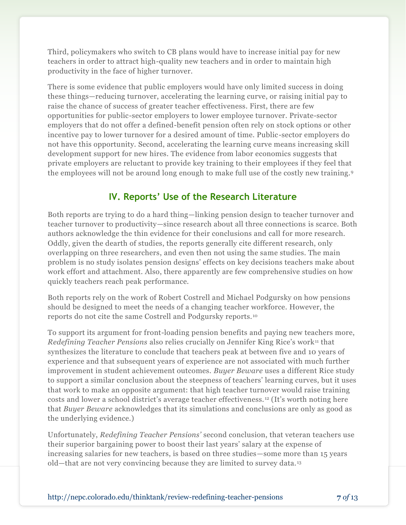Third, policymakers who switch to CB plans would have to increase initial pay for new teachers in order to attract high-quality new teachers and in order to maintain high productivity in the face of higher turnover.

There is some evidence that public employers would have only limited success in doing these things—reducing turnover, accelerating the learning curve, or raising initial pay to raise the chance of success of greater teacher effectiveness. First, there are few opportunities for public-sector employers to lower employee turnover. Private-sector employers that do not offer a defined-benefit pension often rely on stock options or other incentive pay to lower turnover for a desired amount of time. Public-sector employers do not have this opportunity. Second, accelerating the learning curve means increasing skill development support for new hires. The evidence from labor economics suggests that private employers are reluctant to provide key training to their employees if they feel that the employees will not be around long enough to make full use of the costly new training.<sup>9</sup>

### **IV. Reports' Use of the Research Literature**

Both reports are trying to do a hard thing—linking pension design to teacher turnover and teacher turnover to productivity—since research about all three connections is scarce. Both authors acknowledge the thin evidence for their conclusions and call for more research. Oddly, given the dearth of studies, the reports generally cite different research, only overlapping on three researchers, and even then not using the same studies. The main problem is no study isolates pension designs' effects on key decisions teachers make about work effort and attachment. Also, there apparently are few comprehensive studies on how quickly teachers reach peak performance.

Both reports rely on the work of Robert Costrell and Michael Podgursky on how pensions should be designed to meet the needs of a changing teacher workforce. However, the reports do not cite the same Costrell and Podgursky reports. <sup>10</sup>

To support its argument for front-loading pension benefits and paying new teachers more, *Redefining Teacher Pensions* also relies crucially on Jennifer King Rice's work<sup>11</sup> that synthesizes the literature to conclude that teachers peak at between five and 10 years of experience and that subsequent years of experience are not associated with much further improvement in student achievement outcomes. *Buyer Beware* uses a different Rice study to support a similar conclusion about the steepness of teachers' learning curves, but it uses that work to make an opposite argument: that high teacher turnover would raise training costs and lower a school district's average teacher effectiveness. <sup>12</sup> (It's worth noting here that *Buyer Beware* acknowledges that its simulations and conclusions are only as good as the underlying evidence.)

Unfortunately, *Redefining Teacher Pensions'* second conclusion, that veteran teachers use their superior bargaining power to boost their last years' salary at the expense of increasing salaries for new teachers, is based on three studies—some more than 15 years old—that are not very convincing because they are limited to survey data. <sup>13</sup>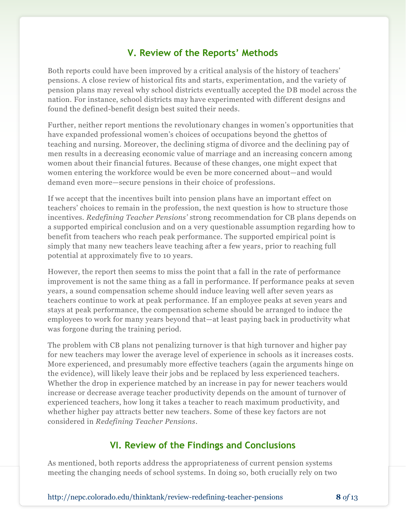#### **V. Review of the Reports' Methods**

Both reports could have been improved by a critical analysis of the history of teachers' pensions. A close review of historical fits and starts, experimentation, and the variety of pension plans may reveal why school districts eventually accepted the DB model across the nation. For instance, school districts may have experimented with different designs and found the defined-benefit design best suited their needs.

Further, neither report mentions the revolutionary changes in women's opportunities that have expanded professional women's choices of occupations beyond the ghettos of teaching and nursing. Moreover, the declining stigma of divorce and the declining pay of men results in a decreasing economic value of marriage and an increasing concern among women about their financial futures. Because of these changes, one might expect that women entering the workforce would be even be more concerned about—and would demand even more—secure pensions in their choice of professions.

If we accept that the incentives built into pension plans have an important effect on teachers' choices to remain in the profession, the next question is how to structure those incentives. *Redefining Teacher Pensions'* strong recommendation for CB plans depends on a supported empirical conclusion and on a very questionable assumption regarding how to benefit from teachers who reach peak performance. The supported empirical point is simply that many new teachers leave teaching after a few years, prior to reaching full potential at approximately five to 10 years.

However, the report then seems to miss the point that a fall in the rate of performance improvement is not the same thing as a fall in performance. If performance peaks at seven years, a sound compensation scheme should induce leaving well after seven years as teachers continue to work at peak performance. If an employee peaks at seven years and stays at peak performance, the compensation scheme should be arranged to induce the employees to work for many years beyond that—at least paying back in productivity what was forgone during the training period.

The problem with CB plans not penalizing turnover is that high turnover and higher pay for new teachers may lower the average level of experience in schools as it increases costs. More experienced, and presumably more effective teachers (again the arguments hinge on the evidence), will likely leave their jobs and be replaced by less experienced teachers. Whether the drop in experience matched by an increase in pay for newer teachers would increase or decrease average teacher productivity depends on the amount of turnover of experienced teachers, how long it takes a teacher to reach maximum productivity, and whether higher pay attracts better new teachers. Some of these key factors are not considered in *Redefining Teacher Pensions*.

#### **VI. Review of the Findings and Conclusions**

As mentioned, both reports address the appropriateness of current pension systems meeting the changing needs of school systems. In doing so, both crucially rely on two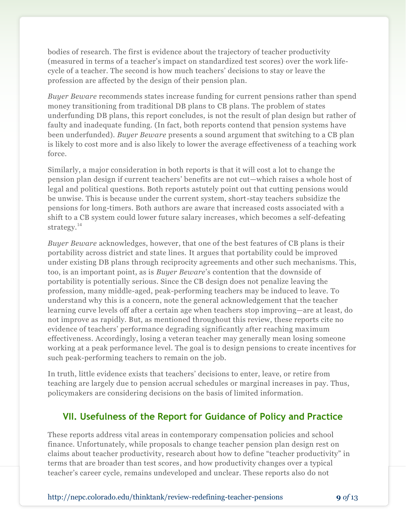bodies of research. The first is evidence about the trajectory of teacher productivity (measured in terms of a teacher's impact on standardized test scores) over the work lifecycle of a teacher. The second is how much teachers' decisions to stay or leave the profession are affected by the design of their pension plan.

*Buyer Beware* recommends states increase funding for current pensions rather than spend money transitioning from traditional DB plans to CB plans. The problem of states underfunding DB plans, this report concludes, is not the result of plan design but rather of faulty and inadequate funding. (In fact, both reports contend that pension systems have been underfunded). *Buyer Beware* presents a sound argument that switching to a CB plan is likely to cost more and is also likely to lower the average effectiveness of a teaching work force.

Similarly, a major consideration in both reports is that it will cost a lot to change the pension plan design if current teachers' benefits are not cut—which raises a whole host of legal and political questions. Both reports astutely point out that cutting pensions would be unwise. This is because under the current system, short-stay teachers subsidize the pensions for long-timers. Both authors are aware that increased costs associated with a shift to a CB system could lower future salary increases, which becomes a self-defeating strategy.<sup>14</sup>

*Buyer Beware* acknowledges, however, that one of the best features of CB plans is their portability across district and state lines. It argues that portability could be improved under existing DB plans through reciprocity agreements and other such mechanisms. This, too, is an important point, as is *Buyer Beware*'s contention that the downside of portability is potentially serious. Since the CB design does not penalize leaving the profession, many middle-aged, peak-performing teachers may be induced to leave. To understand why this is a concern, note the general acknowledgement that the teacher learning curve levels off after a certain age when teachers stop improving—are at least, do not improve as rapidly. But, as mentioned throughout this review, these reports cite no evidence of teachers' performance degrading significantly after reaching maximum effectiveness. Accordingly, losing a veteran teacher may generally mean losing someone working at a peak performance level. The goal is to design pensions to create incentives for such peak-performing teachers to remain on the job.

In truth, little evidence exists that teachers' decisions to enter, leave, or retire from teaching are largely due to pension accrual schedules or marginal increases in pay. Thus, policymakers are considering decisions on the basis of limited information.

## **VII. Usefulness of the Report for Guidance of Policy and Practice**

These reports address vital areas in contemporary compensation policies and school finance. Unfortunately, while proposals to change teacher pension plan design rest on claims about teacher productivity, research about how to define "teacher productivity" in terms that are broader than test scores, and how productivity changes over a typical teacher's career cycle, remains undeveloped and unclear. These reports also do not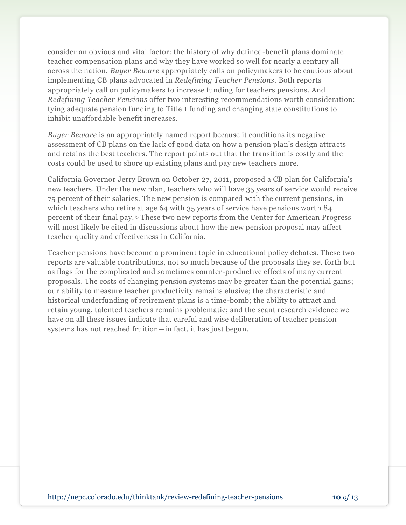consider an obvious and vital factor: the history of why defined-benefit plans dominate teacher compensation plans and why they have worked so well for nearly a century all across the nation. *Buyer Beware* appropriately calls on policymakers to be cautious about implementing CB plans advocated in *Redefining Teacher Pensions.* Both reports appropriately call on policymakers to increase funding for teachers pensions. And *Redefining Teacher Pensions* offer two interesting recommendations worth consideration: tying adequate pension funding to Title 1 funding and changing state constitutions to inhibit unaffordable benefit increases.

*Buyer Beware* is an appropriately named report because it conditions its negative assessment of CB plans on the lack of good data on how a pension plan's design attracts and retains the best teachers. The report points out that the transition is costly and the costs could be used to shore up existing plans and pay new teachers more.

California Governor Jerry Brown on October 27, 2011, proposed a CB plan for California's new teachers. Under the new plan, teachers who will have 35 years of service would receive 75 percent of their salaries. The new pension is compared with the current pensions, in which teachers who retire at age 64 with 35 years of service have pensions worth 84 percent of their final pay.<sup>15</sup> These two new reports from the Center for American Progress will most likely be cited in discussions about how the new pension proposal may affect teacher quality and effectiveness in California.

Teacher pensions have become a prominent topic in educational policy debates. These two reports are valuable contributions, not so much because of the proposals they set forth but as flags for the complicated and sometimes counter-productive effects of many current proposals. The costs of changing pension systems may be greater than the potential gains; our ability to measure teacher productivity remains elusive; the characteristic and historical underfunding of retirement plans is a time-bomb; the ability to attract and retain young, talented teachers remains problematic; and the scant research evidence we have on all these issues indicate that careful and wise deliberation of teacher pension systems has not reached fruition—in fact, it has just begun.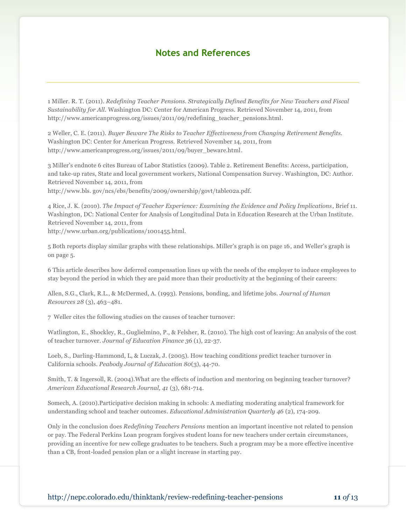#### **Notes and References**

1 Miller. R. T. (2011). *Redefining Teacher Pensions. Strategically Defined Benefits for New Teachers and Fiscal Sustainability for All.* Washington DC: Center for American Progress. Retrieved November 14, 2011, from http://www.americanprogress.org/issues/2011/09/redefining\_teacher\_pensions.html.

2 Weller, C. E. (2011). *Buyer Beware The Risks to Teacher Effectiveness from Changing Retirement Benefits.* Washington DC: Center for American Progress. Retrieved November 14, 2011, from http://www.americanprogress.org/issues/2011/09/buyer\_beware.html.

3 Miller's endnote 6 cites Bureau of Labor Statistics (2009). Table 2. Retirement Benefits: Access, participation, and take-up rates, State and local government workers, National Compensation Survey. Washington, DC: Author. Retrieved November 14, 2011, from

http://www.bls. gov/ncs/ebs/benefits/2009/ownership/govt/table02a.pdf.

4 Rice, J. K. (2010). *The Impact of Teacher Experience: Examining the Evidence and Policy Implications*, Brief 11*.* Washington, DC: National Center for Analysis of Longitudinal Data in Education Research at the Urban Institute. Retrieved November 14, 2011, from http://www.urban.org/publications/1001455.html.

5 Both reports display similar graphs with these relationships. Miller's graph is on page 16, and Weller's graph is on page 5.

6 This article describes how deferred compensation lines up with the needs of the employer to induce employees to stay beyond the period in which they are paid more than their productivity at the beginning of their careers:

Allen, S.G., Clark, R.L., & McDermed, A. (1993). Pensions, bonding, and lifetime jobs. *Journal of Human Resources 28* (3), 463–481.

7 Weller cites the following studies on the causes of teacher turnover:

Watlington, E., Shockley, R., Guglielmino, P., & Felsher, R. (2010). The high cost of leaving: An analysis of the cost of teacher turnover. *Journal of Education Finance 36* (1), 22-37.

Loeb, S., Darling-Hammond, L, & Luczak, J. (2005). How teaching conditions predict teacher turnover in California schools. *Peabody Journal of Education 80*(3), 44-70.

Smith, T. & Ingersoll, R. (2004).What are the effects of induction and mentoring on beginning teacher turnover? *American Educational Research Journal, 41* (3), 681-714.

Somech, A. (2010).Participative decision making in schools: A mediating moderating analytical framework for understanding school and teacher outcomes. *Educational Administration Quarterly 46* (2), 174-209.

Only in the conclusion does *Redefining Teachers Pensions* mention an important incentive not related to pension or pay. The Federal Perkins Loan program forgives student loans for new teachers under certain circumstances, providing an incentive for new college graduates to be teachers. Such a program may be a more effective incentive than a CB, front-loaded pension plan or a slight increase in starting pay.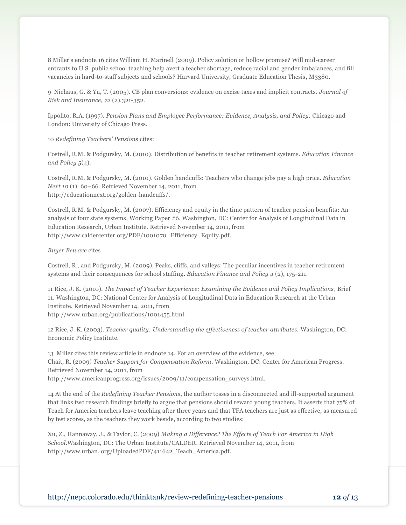8 Miller's endnote 16 cites William H. Marinell (2009). Policy solution or hollow promise? Will mid-career entrants to U.S. public school teaching help avert a teacher shortage, reduce racial and gender imbalances, and fill vacancies in hard-to-staff subjects and schools? Harvard University, Graduate Education Thesis, M3380.

9 Niehaus, G. & Yu, T. (2005). CB plan conversions: evidence on excise taxes and implicit contracts. *Journal of Risk and Insurance, 72* (2),321-352.

Ippolito, R.A. (1997). *Pension Plans and Employee Performance: Evidence, Analysis, and Policy.* Chicago and London: University of Chicago Press.

10 *Redefining Teachers' Pensions* cites:

Costrell, R.M. & Podgursky, M. (2010). Distribution of benefits in teacher retirement systems. *Education Finance and Policy 5*(4).

Costrell, R.M. & Podgursky, M. (2010). Golden handcuffs: Teachers who change jobs pay a high price. *Education Next 10* (1): 60–66. Retrieved November 14, 2011, from [http://educationnext.org/golden-handcuffs/.](http://educationnext.org/golden-handcuffs/)

Costrell, R.M. & Podgursky, M. (2007). Efficiency and equity in the time pattern of teacher pension benefits: An analysis of four state systems, Working Paper #6. Washington, DC: Center for Analysis of Longitudinal Data in Education Research, Urban Institute. Retrieved November 14, 2011, from [http://www.caldercenter.org/PDF/1001070\\_Efficiency\\_Equity.pdf.](http://www.caldercenter.org/PDF/1001070_Efficiency_Equity.pdf)

*Buyer Beware* cites

Costrell, R., and Podgursky, M. (2009). Peaks, cliffs, and valleys: The peculiar incentives in teacher retirement systems and their consequences for school staffing. *Education Finance and Policy 4* (2), 175-211.

11 Rice, J. K. (2010). *The Impact of Teacher Experience: Examining the Evidence and Policy Implications*, Brief 11. Washington, DC: National Center for Analysis of Longitudinal Data in Education Research at the Urban Institute. Retrieved November 14, 2011, from http://www.urban.org/publications/1001455.html.

12 Rice, J. K. (2003). *Teacher quality: Understanding the effectiveness of teacher attributes.* Washington, DC: Economic Policy Institute.

13 Miller cites this review article in endnote 14. For an overview of the evidence, see Chait, R. (2009) *Teacher Support for Compensation Reform.* Washington, DC: Center for American Progress. Retrieved November 14, 2011, from http://www.americanprogress.org/issues/2009/11/compensation\_surveys.html.

14 At the end of the *Redefining Teacher Pensions*, the author tosses in a disconnected and ill-supported argument that links two research findings briefly to argue that pensions should reward young teachers. It asserts that 75% of Teach for America teachers leave teaching after three years and that TFA teachers are just as effective, as measured by test scores, as the teachers they work beside, according to two studies:

Xu, Z., Hannaway, J., & Taylor, C. (2009) *Making a Difference? The Effects of Teach For America in High School.*Washington, DC: The Urban Institute/CALDER. Retrieved November 14, 2011, from [http://www.urban.](http://www.urban/) org/UploadedPDF/411642\_Teach\_America.pdf.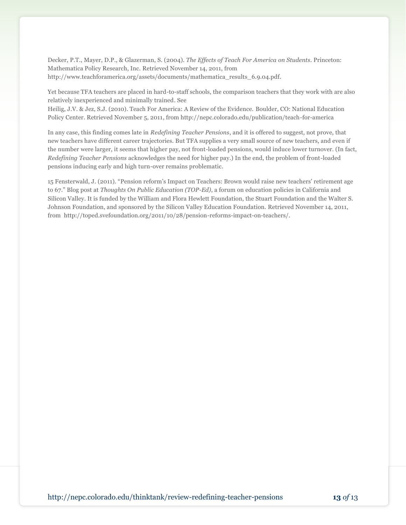Decker, P.T., Mayer, D.P., & Glazerman, S. (2004). *The Effects of Teach For America on Students.* Princeton: Mathematica Policy Research, Inc. Retrieved November 14, 2011, from [http://www.teachforamerica.org/assets/documents/mathematica\\_results\\_6.9.04.pdf.](http://www.teachforamerica.org/assets/documents/mathematica_results_6.9.04.pdf)

Yet because TFA teachers are placed in hard-to-staff schools, the comparison teachers that they work with are also relatively inexperienced and minimally trained. See

Heilig, J.V. & Jez, S.J. (2010). Teach For America: A Review of the Evidence. Boulder, CO: National Education Policy Center. Retrieved November 5, 2011, from http://nepc.colorado.edu/publication/teach-for-america

In any case, this finding comes late in *Redefining Teacher Pensions*, and it is offered to suggest, not prove, that new teachers have different career trajectories. But TFA supplies a very small source of new teachers, and even if the number were larger, it seems that higher pay, not front-loaded pensions, would induce lower turnover. (In fact, *Redefining Teacher Pensions* acknowledges the need for higher pay.) In the end, the problem of front-loaded pensions inducing early and high turn-over remains problematic.

15 Fensterwald, J. (2011). "Pension reform's Impact on Teachers: Brown would raise new teachers' retirement age to 67.‖ Blog post at *Thoughts On Public Education (TOP-Ed)*, a forum on education policies in California and Silicon Valley. It is funded by the William and Flora Hewlett Foundation, the Stuart Foundation and the Walter S. Johnson Foundation, and sponsored by the Silicon Valley Education Foundation. Retrieved November 14, 2011, from http://toped.svefoundation.org/2011/10/28/pension-reforms-impact-on-teachers/.